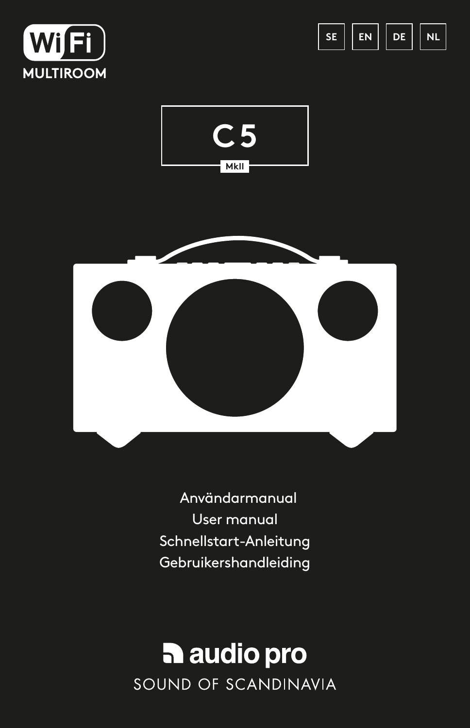







 Användarmanual User manual Schnellstart-Anleitung Gebruikershandleiding

## audio pro SOUND OF SCANDINAVIA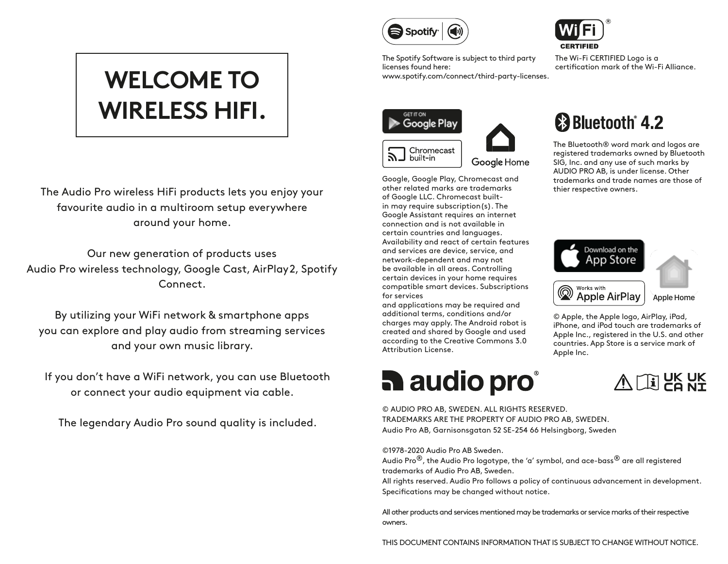# **WELCOME TO WIRELESS HIFI.**

The Audio Pro wireless HiFi products lets you enjoy your favourite audio in a multiroom setup everywhere around your home.

Our new generation of products uses Audio Pro wireless technology, Google Cast, AirPlay2, Spotify Connect.

By utilizing your WiFi network & smartphone apps you can explore and play audio from streaming services and your own music library.

If you don't have a WiFi network, you can use Bluetooth or connect your audio equipment via cable.

The legendary Audio Pro sound quality is included.



The Spotify Software is subject to third party licenses found here: www.spotify.com/connect/third-party-licenses.





Google Home

Google, Google Play, Chromecast and other related marks are trademarks of Google LLC. Chromecast builtin may require subscription(s). The Google Assistant requires an internet connection and is not available in certain countries and languages. Availability and react of certain features and services are device, service, and network-dependent and may not be available in all areas. Controlling certain devices in your home requires compatible smart devices. Subscriptions for services

and applications may be required and additional terms, conditions and/or charges may apply. The Android robot is created and shared by Google and used according to the Creative Commons 3.0 Attribution License.

# **h** audio pro



The Wi-Fi CERTIFIED Logo is a certification mark of the Wi-Fi Alliance.

# **83 Bluetooth** 4.2

The Bluetooth® word mark and logos are registered trademarks owned by Bluetooth SIG, Inc. and any use of such marks by AUDIO PRO AB, is under license. Other trademarks and trade names are those of thier respective owners.



© Apple, the Apple logo, AirPlay, iPad, iPhone, and iPod touch are trademarks of Apple Inc., registered in the U.S. and other countries. App Store is a service mark of Apple Inc.



© AUDIO PRO AB, SWEDEN. ALL RIGHTS RESERVED. TRADEMARKS ARE THE PROPERTY OF AUDIO PRO AB, SWEDEN. Audio Pro AB, Garnisonsgatan 52 SE-254 66 Helsingborg, Sweden

©1978-2020 Audio Pro AB Sweden.

Audio Pro<sup>®</sup>, the Audio Pro logotype, the 'a' symbol, and ace-bass<sup>®</sup> are all registered trademarks of Audio Pro AB, Sweden.

All rights reserved. Audio Pro follows a policy of continuous advancement in development. Specifications may be changed without notice.

All other products and services mentioned may be trademarks or service marks of their respective owners.

THIS DOCUMENT CONTAINS INFORMATION THAT IS SUBJECT TO CHANGE WITHOUT NOTICE.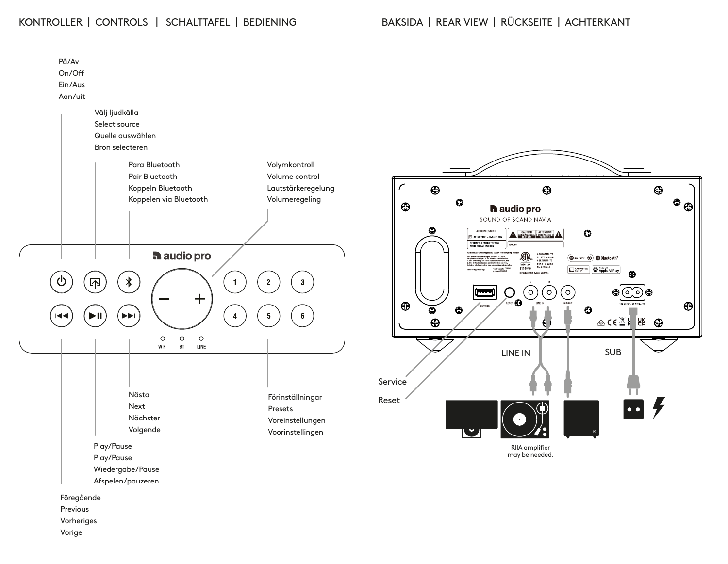### KONTROLLER | CONTROLS | SCHALTTAFEL | BEDIENING BAKSIDA | REAR VIEW | RÜCKSEITE | ACHTERKANT

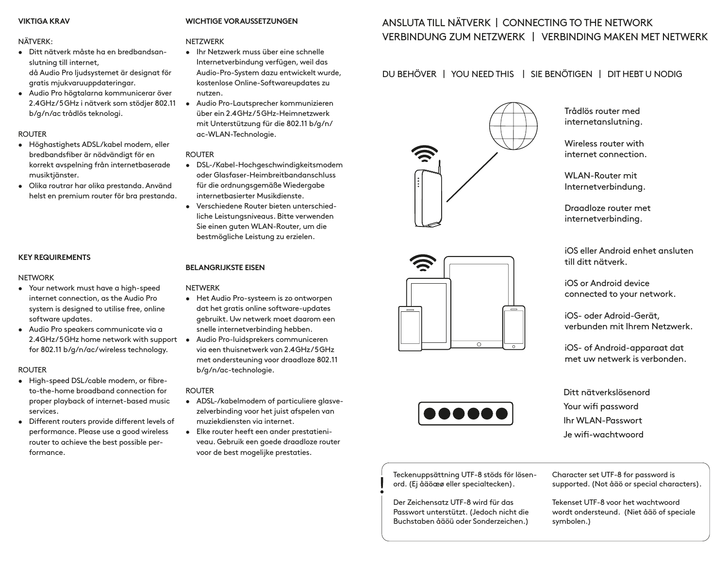### **VIKTIGA KRAV**

#### NÄTVERK:

- Ditt nätverk måste ha en bredbandsanslutning till internet, då Audio Pro ljudsystemet är designat för gratis mjukvaruuppdateringar.
- Audio Pro högtalarna kommunicerar över 2.4GHz / 5GHz i nätverk som stödjer 802.11 b/g/n/ac trådlös teknologi.

### ROUTER

- Höghastighets ADSL/kabel modem, eller bredbandsfiber är nödvändigt för en korrekt avspelning från internetbaserade musiktjänster.
- Olika routrar har olika prestanda. Använd helst en premium router för bra prestanda.

### **KEY REQUIREMENTS**

### NETWORK

- Your network must have a high-speed internet connection, as the Audio Pro system is designed to utilise free, online software updates.
- Audio Pro speakers communicate via a 2.4GHz/5GHz home network with support  $\bullet$ for 802.11 b/g/n/ac/ wireless technology.

### ROUTER

- High-speed DSL/cable modem, or fibreto-the-home broadband connection for proper playback of internet-based music services.
- Different routers provide different levels of performance. Please use a good wireless router to achieve the best possible performance.

### **WICHTIGE VORAUSSETZUNGEN**

### NETZWERK

- Ihr Netzwerk muss über eine schnelle Internetverbindung verfügen, weil das Audio-Pro-System dazu entwickelt wurde, kostenlose Online-Softwareupdates zu nutzen.
- Audio Pro-Lautsprecher kommunizieren über ein 2.4GHz / 5GHz-Heimnetzwerk mit Unterstützung für die 802.11 b/g/n/ ac-WLAN-Technologie.

### ROUTER

- DSL-/Kabel-Hochgeschwindigkeitsmodem oder Glasfaser-Heimbreitbandanschluss für die ordnungsgemäße Wiedergabe internetbasierter Musikdienste.
- Verschiedene Router bieten unterschiedliche Leistungsniveaus. Bitte verwenden Sie einen guten WLAN-Router, um die bestmögliche Leistung zu erzielen.

### **BELANGRIJKSTE EISEN**

### NETWERK

- Het Audio Pro-systeem is zo ontworpen dat het gratis online software-updates gebruikt. Uw netwerk moet daarom een snelle internetverbinding hebben.
- Audio Pro-luidsprekers communiceren via een thuisnetwerk van 2.4GHz / 5GHz met ondersteuning voor draadloze 802.11 b/g/n/ac-technologie.

### ROUTER

- ADSL-/kabelmodem of particuliere glasvezelverbinding voor het juist afspelen van muziekdiensten via internet.
- Elke router heeft een ander prestatieniveau. Gebruik een goede draadloze router voor de best mogelijke prestaties.

### ANSLUTA TILL NÄTVERK | CONNECTING TO THE NETWORK VERBINDUNG ZUM NETZWERK | VERBINDING MAKEN MET NETWERK

### DU BEHÖVER | YOU NEED THIS | SIE BENÖTIGEN | DIT HEBT U NODIG



Trådlös router med internetanslutning.

Wireless router with internet connection.

WLAN-Router mit Internetverbindung.

Draadloze router met internetverbinding.

iOS eller Android enhet ansluten till ditt nätverk.

iOS or Android device connected to your network.

iOS- oder Adroid-Gerät, verbunden mit Ihrem Netzwerk.

iOS- of Android-apparaat dat met uw netwerk is verbonden.

Ditt nätverkslösenord Your wifi password Ihr WLAN-Passwort Je wifi-wachtwoord

Teckenuppsättning UTF-8 stöds för lösenord. (Ej åäöæø eller specialtecken).

Der Zeichensatz UTF-8 wird für das Passwort unterstützt. (Jedoch nicht die Buchstaben åäöü oder Sonderzeichen.) Character set UTF-8 for password is supported. (Not åäö or special characters).

Tekenset UTF-8 voor het wachtwoord wordt ondersteund. (Niet åäö of speciale symbolen.)





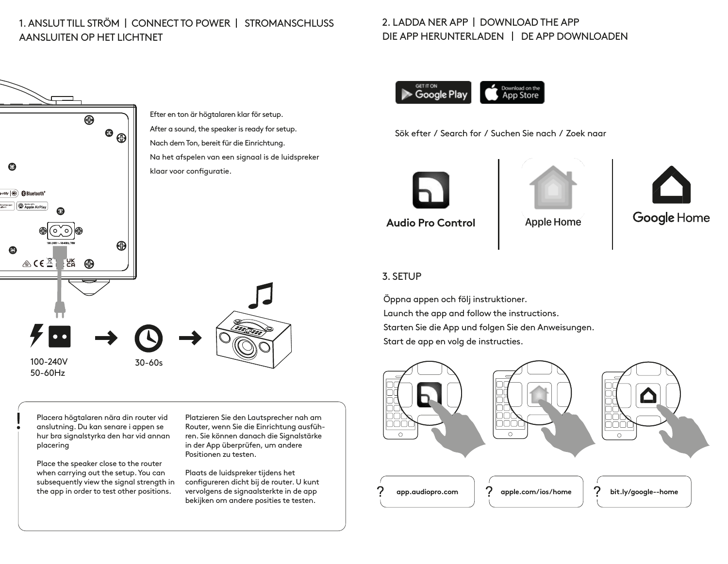### 1. ANSLUT TILL STRÖM | CONNECT TO POWER | STROMANSCHLUSS AANSLUITEN OP HET LICHTNET

## Efter en ton är högtalaren klar för setup. After a sound, the speaker is ready for setup. ⊕ ⊝ Nach dem Ton, bereit für die Einrichtung. Na het afspelen van een signaal is de luidspreker klaar voor configuratie. potify **@ @ Bluetooth**\* Morecart | **CADDE AirPlay** ⊕  $\&$  CE $\&$ ්පි <mark>⊕</mark> 100-240V 30-60s 50-60Hz

Placera högtalaren nära din router vid anslutning. Du kan senare i appen se hur bra signalstyrka den har vid annan placering

Place the speaker close to the router when carrying out the setup. You can subsequently view the signal strength in the app in order to test other positions.

Platzieren Sie den Lautsprecher nah am Router, wenn Sie die Einrichtung ausführen. Sie können danach die Signalstärke in der App überprüfen, um andere Positionen zu testen.

Plaats de luidspreker tijdens het configureren dicht bij de router. U kunt vervolgens de signaalsterkte in de app bekijken om andere posities te testen.

### 2. LADDA NER APP | DOWNLOAD THE APP DIE APP HERUNTERLADEN | DE APP DOWNLOADEN



Sök efter / Search for / Suchen Sie nach / Zoek naar







### 3. SETUP

Öppna appen och följ instruktioner. Launch the app and follow the instructions. Starten Sie die App und folgen Sie den Anweisungen. Start de app en volg de instructies.

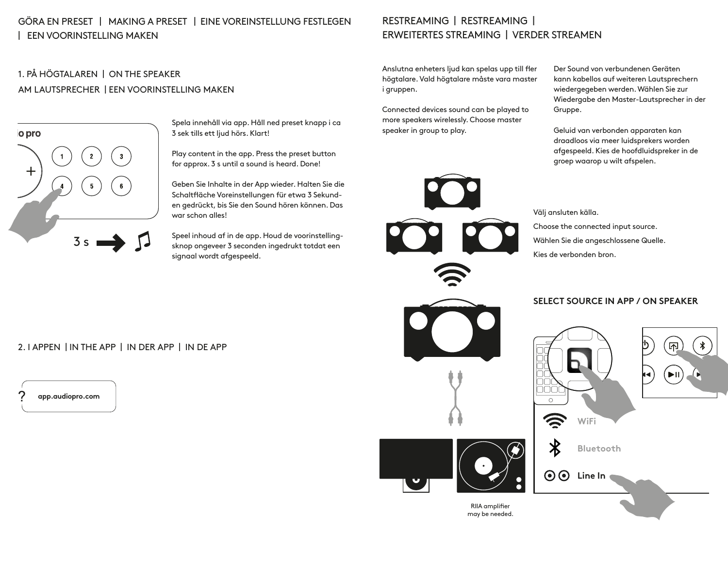### GÖRA EN PRESET | MAKING A PRESET | EINE VOREINSTELLUNG FESTLEGEN | EEN VOORINSTELLING MAKEN

### 1. PÅ HÖGTALAREN | ON THE SPEAKER AM LAUTSPRECHER | EEN VOORINSTELLING MAKEN



Spela innehåll via app. Håll ned preset knapp i ca 3 sek tills ett ljud hörs. Klart!

Play content in the app. Press the preset button for approx. 3 s until a sound is heard. Done!

Geben Sie Inhalte in der App wieder. Halten Sie die Schaltfläche Voreinstellungen für etwa 3 Sekunden gedrückt, bis Sie den Sound hören können. Das war schon alles!

Speel inhoud af in de app. Houd de voorinstellingsknop ongeveer 3 seconden ingedrukt totdat een signaal wordt afgespeeld.

### RESTREAMING | RESTREAMING | ERWEITERTES STREAMING | VERDER STREAMEN

Anslutna enheters ljud kan spelas upp till fler högtalare. Vald högtalare måste vara master i gruppen.

Connected devices sound can be played to more speakers wirelessly. Choose master speaker in group to play.

Der Sound von verbundenen Geräten kann kabellos auf weiteren Lautsprechern wiedergegeben werden. Wählen Sie zur Wiedergabe den Master-Lautsprecher in der Gruppe.

Geluid van verbonden apparaten kan draadloos via meer luidsprekers worden afgespeeld. Kies de hoofdluidspreker in de groep waarop u wilt afspelen.

Välj ansluten källa.

Choose the connected input source. Wählen Sie die angeschlossene Quelle. Kies de verbonden bron.



### **SELECT SOURCE IN APP / ON SPEAKER**

ñññ Ö **WiFi**  $\boldsymbol{\mathsf{X}}$ **Bluetooth**  $\odot$ **Line In** may be needed.

### 2. I APPEN | IN THE APP | IN DER APP | IN DE APP

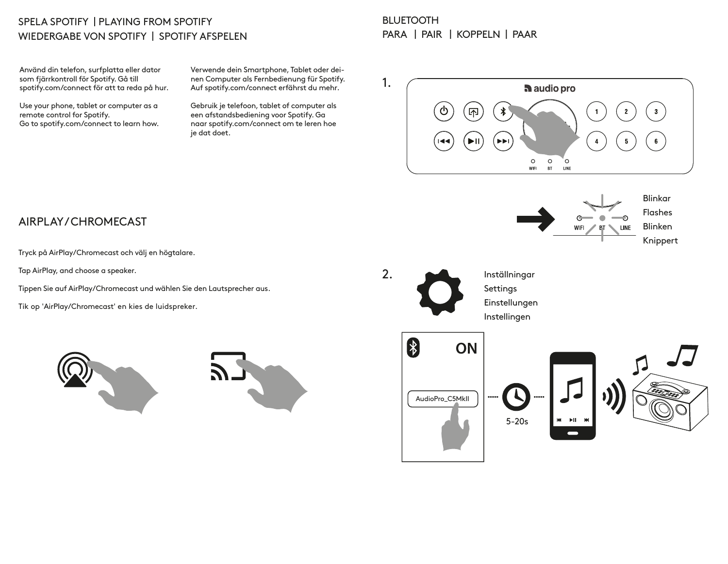### SPELA SPOTIFY | PLAYING FROM SPOTIFY WIEDERGABE VON SPOTIFY | SPOTIFY AFSPELEN

Använd din telefon, surfplatta eller dator som fjärrkontroll för Spotify. Gå till spotify.com/connect för att ta reda på hur.

Use your phone, tablet or computer as a remote control for Spotify. Go to spotify.com/connect to learn how.

Verwende dein Smartphone, Tablet oder deinen Computer als Fernbedienung für Spotify. Auf spotify.com/connect erfährst du mehr.

Gebruik je telefoon, tablet of computer als een afstandsbediening voor Spotify. Ga naar spotify.com/connect om te leren hoe je dat doet.

### **BLUETOOTH** PARA | PAIR | KOPPELN | PAAR



### AIRPLAY / CHROMECAST

Tryck på AirPlay/Chromecast och välj en högtalare.

Tap AirPlay, and choose a speaker.

Tippen Sie auf AirPlay/Chromecast und wählen Sie den Lautsprecher aus.

Tik op 'AirPlay/Chromecast' en kies de luidspreker.



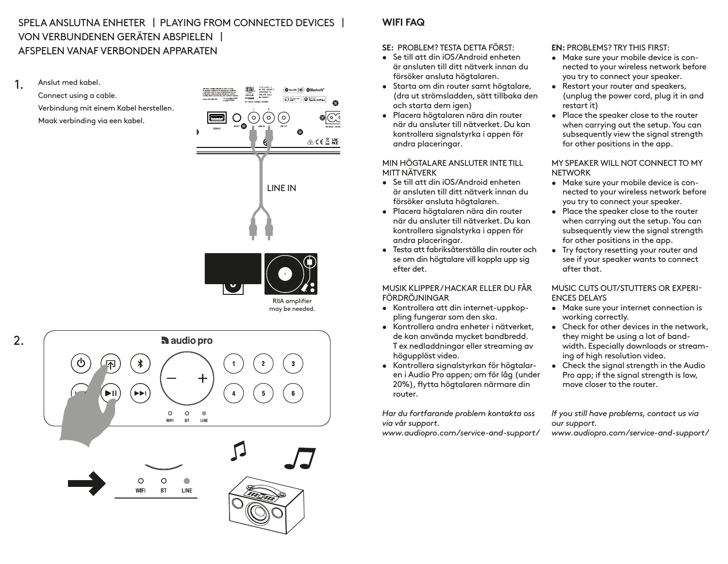### SPELA ANSLUTNA ENHETER | PLAYING FROM CONNECTED DEVICES | VON VERBUNDENEN GERÄTEN ABSPIELEN | AFSPELEN VANAF VERBONDEN APPARATEN

1. Anslut med kabel. Connect using a cable. Verbindung mit einem Kabel herstellen. Maak verbinding via een kabel.

2.



audio pro ∦ EE  $\circ$  $\circ$  $\Phi$ WFL  $B$ T LINE Ò  $\Omega$ **WIFI BT** LINE

### **WIFI FAQ**

**SE:** PROBLEM? TESTA DETTA FÖRST:

- Se till att din iOS/Android enheten är ansluten till ditt nätverk innan du försöker ansluta högtalaren.
- Starta om din router samt högtalare, (dra ut strömsladden, sätt tillbaka den och starta dem igen)
- Placera högtalaren nära din router när du ansluter till nätverket. Du kan kontrollera signalstyrka i appen för andra placeringar.

MIN HÖGTALARE ANSLUTER INTE TILL MITT NÄTVERK

- Se till att din iOS/Android enheten är ansluten till ditt nätverk innan du försöker ansluta högtalaren.
- Placera högtalaren nära din router när du ansluter till nätverket. Du kan kontrollera signalstyrka i appen för andra placeringar.
- Testa att fabriksåterställa din router och se om din högtalare vill koppla upp sig efter det.

MUSIK KLIPPER / HACKAR ELLER DU FÅR FÖRDRÖJNINGAR

- Kontrollera att din internet-uppkoppling fungerar som den ska.
- Kontrollera andra enheter i nätverket, de kan använda mycket bandbredd. T ex nedladdningar eller streaming av högupplöst video.
- Kontrollera signalstyrkan för högtalaren i Audio Pro appen; om för låg (under 20%), flytta högtalaren närmare din router.

*Har du fortfarande problem kontakta oss via vår support.* 

*www.audiopro.com/service-and-support/*

**EN:** PROBLEMS? TRY THIS FIRST:

- Make sure your mobile device is connected to your wireless network before you try to connect your speaker.
- Restart your router and speakers, (unplug the power cord, plug it in and restart it)
- Place the speaker close to the router when carrying out the setup. You can subsequently view the signal strength for other positions in the app.

MY SPEAKER WILL NOT CONNECT TO MY **NETWORK** 

- Make sure your mobile device is connected to your wireless network before you try to connect your speaker.
- Place the speaker close to the router when carrying out the setup. You can subsequently view the signal strength for other positions in the app.
- Try factory resetting your router and see if your speaker wants to connect after that.

### MUSIC CUTS OUT/STUTTERS OR EXPERI-ENCES DELAYS

- Make sure your internet connection is working correctly.
- Check for other devices in the network, they might be using a lot of bandwidth. Especially downloads or streaming of high resolution video.
- Check the signal strength in the Audio Pro app; if the signal strength is low, move closer to the router.

*If you still have problems, contact us via our support. www.audiopro.com/service-and-support/*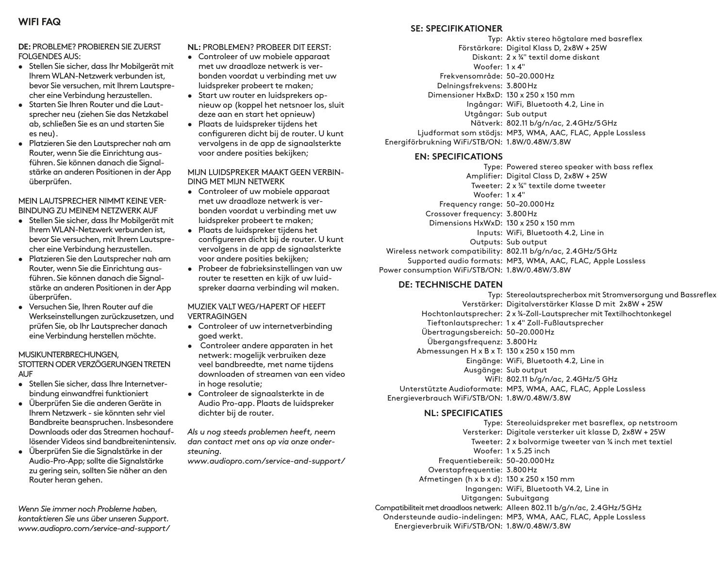### **DE:** PROBLEME? PROBIEREN SIE ZUERST FOLGENDES AUS:

- Stellen Sie sicher, dass Ihr Mobilgerät mit Ihrem WLAN-Netzwerk verbunden ist, bevor Sie versuchen, mit Ihrem Lautsprecher eine Verbindung herzustellen.
- Starten Sie Ihren Router und die Lautsprecher neu (ziehen Sie das Netzkabel ab, schließen Sie es an und starten Sie es neu).
- Platzieren Sie den Lautsprecher nah am Router, wenn Sie die Einrichtung ausführen. Sie können danach die Signalstärke an anderen Positionen in der App überprüfen.

### MEIN LAUTSPRECHER NIMMT KEINE VER-BINDUNG ZU MEINEM NETZWERK AUF

• Stellen Sie sicher, dass Ihr Mobilgerät mit

- Ihrem WLAN-Netzwerk verbunden ist, bevor Sie versuchen, mit Ihrem Lautsprecher eine Verbindung herzustellen.
- Platzieren Sie den Lautsprecher nah am Router, wenn Sie die Einrichtung ausführen. Sie können danach die Signalstärke an anderen Positionen in der App überprüfen.
- Versuchen Sie, Ihren Router auf die Werkseinstellungen zurückzusetzen, und prüfen Sie, ob Ihr Lautsprecher danach eine Verbindung herstellen möchte.

### MUSIKUNTERBRECHUNGEN,

STOTTERN ODER VERZÖGERUNGEN TRETEN **AUF** 

- Stellen Sie sicher, dass Ihre Internetverbindung einwandfrei funktioniert
- Überprüfen Sie die anderen Geräte in Ihrem Netzwerk - sie könnten sehr viel Bandbreite beanspruchen. Insbesondere Downloads oder das Streamen hochauflösender Videos sind bandbreitenintensiv.
- Überprüfen Sie die Signalstärke in der Audio-Pro-App; sollte die Signalstärke zu gering sein, sollten Sie näher an den Router heran gehen.

*Wenn Sie immer noch Probleme haben, kontaktieren Sie uns über unseren Support. www.audiopro.com/service-and-support/* **NL:** PROBLEMEN? PROBEER DIT EERST:

- Controleer of uw mobiele apparaat met uw draadloze netwerk is verbonden voordat u verbinding met uw luidspreker probeert te maken;
- Start uw router en luidsprekers opnieuw op (koppel het netsnoer los, sluit deze aan en start het opnieuw)
- Plaats de luidspreker tijdens het configureren dicht bij de router. U kunt vervolgens in de app de signaalsterkte voor andere posities bekijken;

MIJN LUIDSPREKER MAAKT GEEN VERBIN-DING MET MIJN NETWERK

- Controleer of uw mobiele apparaat met uw draadloze netwerk is verbonden voordat u verbinding met uw luidspreker probeert te maken;
- Plaats de luidspreker tijdens het configureren dicht bij de router. U kunt vervolgens in de app de signaalsterkte voor andere posities bekijken;
- Probeer de fabrieksinstellingen van uw router te resetten en kijk of uw luidspreker daarna verbinding wil maken.

MUZIEK VALT WEG/HAPERT OF HEEFT **VERTRAGINGEN** 

- Controleer of uw internetverbinding goed werkt.
- Controleer andere apparaten in het netwerk: mogelijk verbruiken deze veel bandbreedte, met name tijdens downloaden of streamen van een video in hoge resolutie;
- Controleer de signaalsterkte in de Audio Pro-app. Plaats de luidspreker dichter bij de router.

*Als u nog steeds problemen heeft, neem dan contact met ons op via onze ondersteuning.*

*www.audiopro.com/service-and-support/*

**SE: SPECIFIKATIONER**

Typ: Aktiv stereo högtalare med basreflex Förstärkare: Digital Klass D, 2x8W + 25W Diskant: 2 x ¾" textil dome diskant  $W<sub>onfer</sub>: 1 x 4"$ Frekvensområde: 50–20.000Hz Delningsfrekvens: 3.800Hz Dimensioner HxBxD: 130 x 250 x 150 mm Ingångar: WiFi, Bluetooth 4.2, Line in Utgångar: Sub output Nätverk: 802.11 b/g/n/ac, 2.4GHz/5GHz Ljudformat som stödjs: MP3, WMA, AAC, FLAC, Apple Lossless Energiförbrukning WiFi/STB/ON: 1.8W/0.48W/3.8W

### **EN: SPECIFICATIONS**

Type: Powered stereo speaker with bass reflex Amplifier: Digital Class D, 2x8W + 25W Tweeter: 2 x ¾" textile dome tweeter  $W<sub>onfer</sub>: 1 x 4"$ Frequency range: 50–20.000Hz Crossover frequency: 3.800Hz Dimensions HxWxD: 130 x 250 x 150 mm Inputs: WiFi, Bluetooth 4.2, Line in Outputs: Sub output Wireless network compatibility: 802.11 b/g/n/ac, 2.4GHz/5GHz Supported audio formats: MP3, WMA, AAC, FLAC, Apple Lossless Power consumption WiFi/STB/ON: 1.8W/0.48W/3.8W

### **DE: TECHNISCHE DATEN**

Typ: Stereolautsprecherbox mit Stromversorgung und Bassreflex Verstärker: Digitalverstärker Klasse D mit 2x8W + 25W Hochtonlautsprecher: 2 x ¾-Zoll-Lautsprecher mit Textilhochtonkegel Tieftonlautsprecher: 1 x 4" Zoll-Fußlautsprecher Übertragungsbereich: 50–20.000Hz Übergangsfrequenz: 3.800Hz Abmessungen H x B x T: 130 x 250 x 150 mm Eingänge: WiFi, Bluetooth 4.2, Line in Ausgänge: Sub output WiFI: 802.11 b/g/n/ac, 2.4GHz/5 GHz Unterstützte Audioformate: MP3, WMA, AAC, FLAC, Apple Lossless Energieverbrauch WiFi/STB/ON: 1.8W/0.48W/3.8W

### **NL: SPECIFICATIES**

Type: Stereoluidspreker met basreflex, op netstroom Versterker: Digitale versterker uit klasse D, 2x8W + 25W Tweeter: 2 x bolvormige tweeter van ¾ inch met textiel Woofer: 1 x 5.25 inch Frequentiebereik: 50–20.000Hz Overstapfrequentie: 3.800Hz Afmetingen (h x b x d): 130 x 250 x 150 mm Ingangen: WiFi, Bluetooth V4.2, Line in Uitgangen: Subuitgang Compatibiliteit met draadloos netwerk: Alleen 802.11 b/g/n/ac, 2.4GHz/5GHz Ondersteunde audio-indelingen: MP3, WMA, AAC, FLAC, Apple Lossless

Energieverbruik WiFi/STB/ON: 1.8W/0.48W/3.8W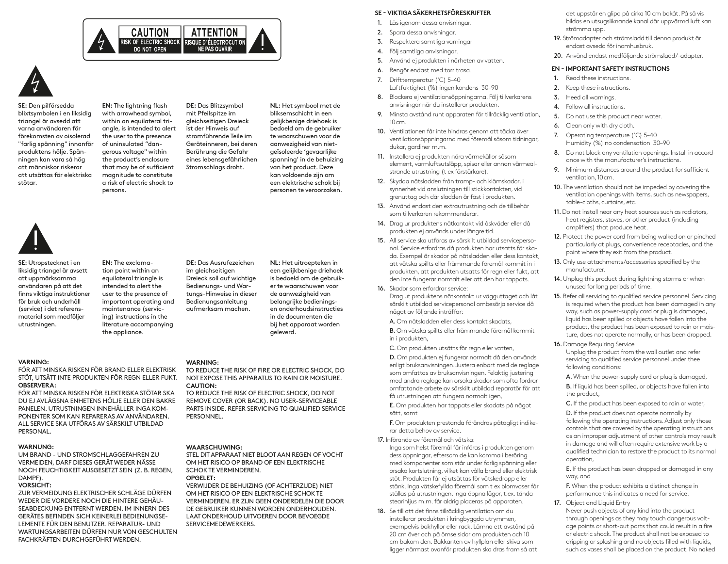



**SE:** Den pilförsedda blixtsymbolen i en liksidig triangel är avsedd att varna användaren för förekomsten av oisolerad "farlig spänning" innanför produktens hölje. Spänningen kan vara så hög att människor riskerar att utsättas för elektriska stötar.

**EN:** The lightning flash with arrowhead symbol, within an equilateral triangle, is intended to alert the user to the presence of uninsulated "dangerous voltage" within the product's enclosure that may be of sufficient magnitude to constitute a risk of electric shock to persons.

**DE:** Das Blitzsymbol mit Pfeilspitze im gleichseitigen Dreieck ist der Hinweis auf stromführende Teile im Geräteinneren, bei deren Berührung die Gefahr eines lebensgefährlichen Stromschlags droht.

**NL:** Het symbool met de bliksemschicht in een gelijkbenige driehoek is bedoeld om de gebruiker te waarschuwen voor de aanwezigheid van nietgeïsoleerde 'gevaarlijke spanning' in de behuizing van het product. Deze kan voldoende zijn om een elektrische schok bij personen te veroorzaken.



**SE:** Utropstecknet i en liksidig triangel är avsett att uppmärksamma användaren på att det finns viktiga instruktioner för bruk och underhåll (service) i det referensmaterial som medföljer utrustningen.

**EN:** The exclamation point within an equilateral triangle is intended to alert the user to the presence of important operating and maintenance (servicing) instructions in the literature accompanying the appliance.

**DE:** Das Ausrufezeichen im gleichseitigen Dreieck soll auf wichtige Bedienungs- und Wartungs-Hinweise in dieser Bedienungsanleitung aufmerksam machen.

**NL:** Het uitroepteken in een gelijkbenige driehoek is bedoeld om de gebruiker te waarschuwen voor de aanwezigheid van belangrijke bedieningsen onderhoudsinstructies in de documenten die bij het apparaat worden geleverd.

#### **VARNING:**

FÖR ATT MINSKA RISKEN FÖR BRAND ELLER ELEKTRISK STÖT, UTSÄTT INTE PRODUKTEN FÖR REGN ELLER FUKT. **OBSERVERA:**

FÖR ATT MINSKA RISKEN FÖR ELEKTRISKA STÖTAR SKA DU EJ AVLÄGSNA ENHETENS HÖLJE ELLER DEN BAKRE PANELEN. UTRUSTNINGEN INNEHÅLLER INGA KOM-PONENTER SOM KAN REPARERAS AV ANVÄNDAREN. ALL SERVICE SKA UTFÖRAS AV SÄRSKILT UTBILDAD PERSONAL.

#### **WARNUNG:**

UM BRAND - UND STROMSCHLAGGEFAHREN ZU VERMEIDEN, DARF DIESES GERÄT WEDER NÄSSE NOCH FEUCHTIGKEIT AUSGESETZT SEIN (Z. B. REGEN, DAMPF).

#### **VORSICHT:**

ZUR VERMEIDUNG ELEKTRISCHER SCHLÄGE DÜRFEN WEDER DIE VORDERE NOCH DIE HINTERE GEHÄU-SEABDECKUNG ENTFERNT WERDEN. IM INNERN DES GERÄTES BEFINDEN SICH KEINERLEI BEDIENUNGSE-LEMENTE FÜR DEN BENUTZER. REPARATUR- UND WARTUNGSARBEITEN DÜRFEN NUR VON GESCHULTEN FACHKRÄFTEN DURCHGEFÜHRT WERDEN.

#### **WARNING:**

TO REDUCE THE RISK OF FIRE OR ELECTRIC SHOCK, DO NOT EXPOSE THIS APPARATUS TO RAIN OR MOISTURE. **CAUTION:**

TO REDUCE THE RISK OF ELECTRIC SHOCK, DO NOT REMOVE COVER (OR BACK). NO USER-SERVICEABLE PARTS INSIDE. REFER SERVICING TO QUALIFIED SERVICE **PERSONNEL** 

#### **WAARSCHUWING:**

STEL DIT APPARAAT NIET BLOOT AAN REGEN OF VOCHT OM HET RISICO OP BRAND OF EEN ELEKTRISCHE SCHOK TE VERMINDEREN. **OPGELET:**

VERWIJDER DE BEHUIZING (OF ACHTERZIJDE) NIET OM HET RISICO OP EEN ELEKTRISCHE SCHOK TE VERMINDEREN. ER ZIJN GEEN ONDERDELEN DIE DOOR DE GEBRUIKER KUNNEN WORDEN ONDERHOUDEN. LAAT ONDERHOUD UITVOEREN DOOR BEVOEGDE SERVICEMEDEWERKERS.

#### **SE - VIKTIGA SÄKERHETSFÖRESKRIFTER**

- 1. Läs igenom dessa anvisningar
- 2. Spara dessa anvisningar.
- 3. Respektera samtliga varningar
- 4. Följ samtliga anvisningar.
- 5. Använd ej produkten i närheten av vatten.
- 6. Rengör endast med torr trasa.
- 7. Drifttemperatur (˚C) 5–40 Luftfuktighet (%) ingen kondens 30–90
- 8. Blockera ej ventilationsöppningarna. Följ tillverkarens anvisningar när du installerar produkten.
- 9. Minsta avstånd runt apparaten för tillräcklig ventilation, 10cm.
- 10. Ventilationen får inte hindras genom att täcka över ventilationsöppningarna med föremål såsom tidningar, dukar, gardiner m.m.
- 11. Installera ej produkten nära värmekällor såsom element, varmluftsutsläpp, spisar eller annan värmealstrande utrustning (t ex förstärkare).
- 12. Skydda nätsladden från tramp- och klämskador, i synnerhet vid anslutningen till stickkontakten, vid grenuttag och där sladden är fäst i produkten.
- 13. Använd endast den extrautrustning och de tillbehör som tillverkaren rekommenderar.
- 14. Drag ur produktens nätkontakt vid åskväder eller då produkten ej används under längre tid.
- 15. All service ska utföras av särskilt utbildad servicepersonal. Service erfordras då produkten har utsatts för skada. Exempel är skador på nätsladden eller dess kontakt, att vätska spillts eller främmande föremål kommit in i produkten, att produkten utsatts för regn eller fukt, att den inte fungerar normalt eller att den har tappats.
- 16. Skador som erfordrar service:

Drag ut produktens nätkontakt ur vägguttaget och låt särskilt utbildad servicepersonal ombesörja service då något av följande inträffar:

- A. Om nätsladden eller dess kontakt skadats,
- B. Om vätska spillts eller främmande föremål kommit in i produkten,
- C. Om produkten utsätts för regn eller vatten,

D. Om produkten ej fungerar normalt då den används enligt bruksanvisningen. Justera enbart med de reglage som omfattas av bruksanvisningen. Felaktig justering med andra reglage kan orsaka skador som ofta fordrar omfattande arbete av särskilt utbildad reparatör för att få utrustningen att fungera normalt igen,

E. Om produkten har tappats eller skadats på något sätt, samt

F. Om produkten prestanda förändras påtagligt indikerar detta behov av service.

17. Införande av föremål och vätska:

Inga som helst föremål får införas i produkten genom dess öppningar, eftersom de kan komma i beröring med komponenter som står under farlig spänning eller orsaka kortslutning, vilket kan vålla brand eller elektrisk stöt. Produkten får ej utsättas för vätskedropp eller stänk. Inga vätskefyllda föremål som t ex blomvaser får ställas på utrustningen. Inga öppna lågor, t.ex. tända stearinljus m.m. får aldrig placeras på apparaten.

18. Se till att det finns tillräcklig ventilation om du installerar produkten i kringbyggda utrymmen, exempelvis bokhyllor eller rack. Lämna ett avstånd på 20 cm över och på ömse sidor om produkten och 10 cm bakom den. Bakkanten av hyllplan eller skiva som ligger närmast ovanför produkten ska dras fram så att det uppstår en glipa på cirka 10 cm bakåt. På så vis bildas en utsugsliknande kanal där uppvärmd luft kan strömma upp.

- 19. Strömadapter och strömsladd till denna produkt är endast avsedd för inomhusbruk.
- 20. Använd endast medföljande strömsladd/-adapter.

#### **EN - IMPORTANT SAFETY INSTRUCTIONS**

- 1. Read these instructions.
- 2. Keep these instructions.
- 3. Heed all warnings.
- 4. Follow all instructions.
- 5. Do not use this product near water.
- 6. Clean only with dry cloth.
- 7. Operating temperature (˚C) 5–40 Humidity (%) no condensation 30–90
- 8. Do not block any ventilation openings. Install in accordance with the manufacturer's instructions.
- 9. Minimum distances around the product for sufficient ventilation, 10cm.
- 10. The ventilation should not be impeded by covering the ventilation openings with items, such as newspapers, table-cloths, curtains, etc.
- 11. Do not install near any heat sources such as radiators, heat registers, stoves, or other product (including amplifiers) that produce heat.
- 12. Protect the power cord from being walked on or pinched particularly at plugs, convenience receptacles, and the point where they exit from the product.
- 13. Only use attachments/accessories specified by the manufacturer.
- 14. Unplug this product during lightning storms or when unused for long periods of time.
- 15. Refer all servicing to qualified service personnel. Servicing is required when the product has been damaged in any way, such as power-supply cord or plug is damaged, liquid has been spilled or objects have fallen into the product, the product has been exposed to rain or moisture, does not operate normally, or has been dropped.
- 16. Damage Requiring Service

Unplug the product from the wall outlet and refer servicing to qualified service personnel under thee following conditions:

A. When the power-supply cord or plug is damaged,

B. If liquid has been spilled, or objects have fallen into the product,

C. If the product has been exposed to rain or water,

D. If the product does not operate normally by following the operating instructions. Adjust only those controls that are covered by the operating instructions as an improper adjustment of other controls may result in damage and will often require extensive work by a qualified technician to restore the product to its normal operation,

E. If the product has been dropped or damaged in any way, and

F. When the product exhibits a distinct change in performance this indicates a need for service.

17. Object and Liquid Entry

Never push objects of any kind into the product through openings as they may touch dangerous voltage points or short-out parts that could result in a fire or electric shock. The product shall not be exposed to dripping or splashing and no objects filled with liquids, such as vases shall be placed on the product. No naked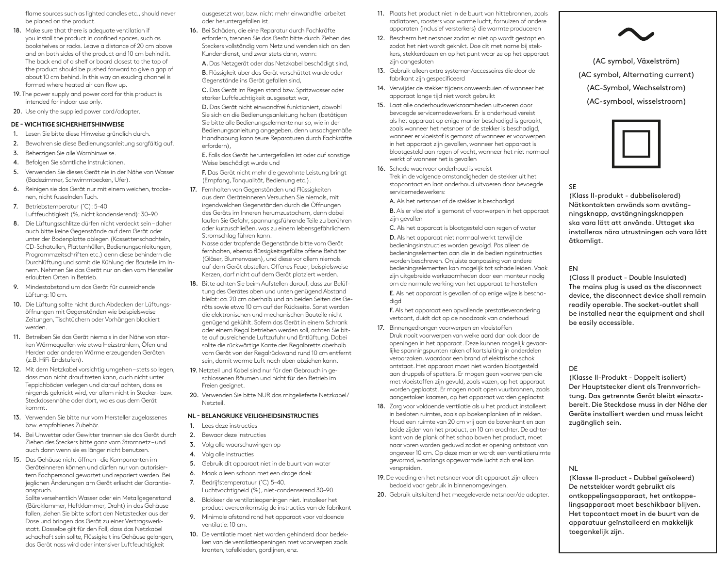flame sources such as lighted candles etc., should never be placed on the product.

- 18. Make sure that there is adequate ventilation if you install the product in confined spaces, such as bookshelves or racks. Leave a distance of 20 cm above and on both sides of the product and 10 cm behind it. The back end of a shelf or board closest to the top of the product should be pushed forward to give a gap of about 10 cm behind. In this way an exuding channel is formed where heated air can flow up.
- 19. The power supply and power cord for this product is intended for indoor use only.
- 20. Use only the supplied power cord/adapter.

#### **DE - WICHTIGE SICHERHEITSHINWEISE**

- 1. Lesen Sie bitte diese Hinweise gründlich durch.
- 2. Bewahren sie diese Bedienungsanleitung sorgfältig auf.
- 3. Beherzigen Sie alle Warnhinweise.
- 4. Befolgen Sie sämtliche Instruktionen.
- 5. Verwenden Sie dieses Gerät nie in der Nähe von Wasser (Badezimmer, Schwimmbecken, Ufer).
- 6. Reinigen sie das Gerät nur mit einem weichen, trockenen, nicht fusselnden Tuch.
- 7. Betriebstemperatur (˚C): 5–40 Luftfeuchtigkeit (%, nicht kondensierend): 30–90
- 8. Die Lüftungsschlitze dürfen nicht verdeckt sein daher auch bitte keine Gegenstände auf dem Gerät oder unter der Bodenplatte ablegen (Kassettenschachteln, CD-Schatullen, Plattenhüllen, Bedienungsanleitungen, Programmzeitschriften etc.) denn diese behindern die Durchlüftung und somit die Kühlung der Bauteile im Innern. Nehmen Sie das Gerät nur an den vom Hersteller erlaubten Orten in Betrieb.
- 9. Mindestabstand um das Gerät für ausreichende Lüftung: 10 cm.
- 10. Die Lüftung sollte nicht durch Abdecken der Lüftungsöffnungen mit Gegenständen wie beispielsweise Zeitungen, Tischtüchern oder Vorhängen blockiert werden.
- 11. Betreiben Sie das Gerät niemals in der Nähe von starken Wärmequellen wie etwa Heizstrahlern, Öfen und Herden oder anderen Wärme erzeugenden Geräten (z.B. HiFi-Endstufen).
- 12. Mit dem Netzkabel vorsichtig umgehen stets so legen, dass man nicht drauf treten kann, auch nicht unter Teppichböden verlegen und darauf achten, dass es nirgends geknickt wird, vor allem nicht in Stecker- bzw. Steckdosennähe oder dort, wo es aus dem Gerät kommt.
- 13. Verwenden Sie bitte nur vom Hersteller zugelassenes bzw. empfohlenes Zubehör.
- 14. Bei Unwetter oder Gewitter trennen sie das Gerät durch Ziehen des Steckers bitte ganz vom Stromnetz – und auch dann wenn sie es länger nicht benutzen.
- 15. Das Gehäuse nicht öffnen die Komponenten im Geräteinneren können und dürfen nur von autorisiertem Fachpersonal gewartet und repariert werden. Bei jeglichen Änderungen am Gerät erlischt der Garantieanspruch.

Sollte versehentlich Wasser oder ein Metallgegenstand (Büroklammer, Heftklammer, Draht) in das Gehäuse fallen, ziehen Sie bitte sofort den Netzstecker aus der Dose und bringen das Gerät zu einer Vertragswerkstatt. Dasselbe gilt für den Fall, dass das Netzkabel schadhaft sein sollte, Flüssigkeit ins Gehäuse gelangen, das Gerät nass wird oder intensiver Luftfeuchtigkeit

ausgesetzt war, bzw. nicht mehr einwandfrei arbeitet oder heruntergefallen ist.

- 16. Bei Schäden, die eine Reparatur durch Fachkräfte erfordern, trennen Sie das Gerät bitte durch Ziehen des Steckers vollständig vom Netz und wenden sich an den Kundendienst, und zwar stets dann, wenn:
	- A. Das Netzgerät oder das Netzkabel beschädigt sind,

B. Flüssigkeit über das Gerät verschüttet wurde oder Gegenstände ins Gerät gefallen sind,

C. Das Gerät im Regen stand bzw. Spritzwasser oder starker Luftfeuchtigkeit ausgesetzt war,

D. Das Gerät nicht einwandfrei funktioniert, obwohl Sie sich an die Bedienungsanleitung halten (betätigen Sie bitte alle Bedienungselemente nur so, wie in der Bedienungsanleitung angegeben, denn unsachgemäße Handhabung kann teure Reparaturen durch Fachkräfte erfordern),

E. Falls das Gerät heruntergefallen ist oder auf sonstige Weise beschädigt wurde und

F. Das Gerät nicht mehr die gewohnte Leistung bringt (Empfang, Tonqualität, Bedienung etc.).

17. Fernhalten von Gegenständen und Flüssigkeiten aus dem Geräteinneren Versuchen Sie niemals, mit irgendwelchen Gegenständen durch die Öffnungen des Geräts im Inneren herumzustochern, denn dabei laufen Sie Gefahr, spannungsführende Teile zu berühren oder kurzuschließen, was zu einem lebensgefährlichem Stromschlag führen kann.

Nasse oder tropfende Gegenstände bitte vom Gerät fernhalten, ebenso flüssigkeitsgefüllte offene Behälter (Gläser, Blumenvasen), und diese vor allem niemals auf dem Gerät abstellen. Offenes Feuer, beispielsweise Kerzen, darf nicht auf dem Gerät platziert werden.

- 18. Bitte achten Sie beim Aufstellen darauf, dass zur Belüftung des Gerätes oben und unten genügend Abstand bleibt: ca. 20 cm oberhalb und an beiden Seiten des Geräts sowie etwa 10 cm auf der Rückseite. Sonst werden die elektronischen und mechanischen Bauteile nicht genügend gekühlt. Sofern das Gerät in einem Schrank oder einem Regal betrieben werden soll, achten Sie bitte auf ausreichende Luftzufuhr und Entlüftung. Dabei sollte die rückwärtige Kante des Regalbretts oberhalb vom Gerät von der Regalrückwand rund 10 cm entfernt sein, damit warme Luft nach oben abziehen kann.
- 19. Netzteil und Kabel sind nur für den Gebrauch in geschlossenen Räumen und nicht für den Betrieb im Freien geeignet.
- 20. Verwenden Sie bitte NUR das mitgelieferte Netzkabel/ Netzteil.

#### **NL - BELANGRIJKE VEILIGHEIDSINSTRUCTIES**

- 1. Lees deze instructies
- 2. Bewaar deze instructies
- 3. Volg alle waarschuwingen op
- 4. Volg alle instructies
- 5. Gebruik dit apparaat niet in de buurt van water
- 6. Maak alleen schoon met een droge doek
- 7. Bedrijfstemperatuur (°C) 5-40. Luchtvochtigheid (%), niet-condenserend 30–90
- 8. Blokkeer de ventilatieopeningen niet. Installeer het product overeenkomstig de instructies van de fabrikant
- 9. Minimale afstand rond het apparaat voor voldoende ventilatie: 10 cm.
- 10. De ventilatie moet niet worden gehinderd door bedekken van de ventilatieopeningen met voorwerpen zoals kranten, tafelkleden, gordijnen, enz.
- 11. Plaats het product niet in de buurt van hittebronnen, zoals radiatoren, roosters voor warme lucht, fornuizen of andere apparaten (inclusief versterkers) die warmte produceren
- 12. Bescherm het netsnoer zodat er niet op wordt gestapt en zodat het niet wordt geknikt. Doe dit met name bij stekkers, stekkerdozen en op het punt waar ze op het apparaat zijn aangesloten
- 13. Gebruik alleen extra systemen/accessoires die door de fabrikant zijn gespecificeerd
- 14. Verwijder de stekker tijdens onweersbuien of wanneer het apparaat lange tijd niet wordt gebruikt
- 15. Laat alle onderhoudswerkzaamheden uitvoeren door bevoegde servicemedewerkers. Er is onderhoud vereist als het apparaat op enige manier beschadigd is geraakt, zoals wanneer het netsnoer of de stekker is beschadigd, wanneer er vloeistof is gemorst of wanneer er voorwerpen in het apparaat zijn gevallen, wanneer het apparaat is blootgesteld aan regen of vocht, wanneer het niet normaal werkt of wanneer het is gevallen

16. Schade waarvoor onderhoud is vereist Trek in de volgende omstandigheden de stekker uit het stopcontact en laat onderhoud uitvoeren door bevoegde servicemedewerkers:

A. Als het netsnoer of de stekker is beschadigd B. Als er vloeistof is gemorst of voorwerpen in het apparaat zijn gevallen

C. Als het apparaat is blootgesteld aan regen of water

D. Als het apparaat niet normaal werkt terwijl de bedieningsinstructies worden gevolgd. Pas alleen de bedieningselementen aan die in de bedieningsinstructies worden beschreven. Onjuiste aanpassing van andere bedieningselementen kan mogelijk tot schade leiden. Vaak zijn uitgebreide werkzaamheden door een monteur nodig om de normale werking van het apparaat te herstellen E. Als het apparaat is gevallen of op enige wijze is beschadigd

F. Als het apparaat een opvallende prestatieverandering vertoont, duidt dat op de noodzaak van onderhoud

- 17. Binnengedrongen voorwerpen en vloeistoffen Druk nooit voorwerpen van welke aard dan ook door de openingen in het apparaat. Deze kunnen mogelijk gevaarlijke spanningspunten raken of kortsluiting in onderdelen veroorzaken, waardoor een brand of elektrische schok ontstaat. Het apparaat moet niet worden blootgesteld aan druppels of spetters. Er mogen geen voorwerpen die met vloeistoffen zijn gevuld, zoals vazen, op het apparaat worden geplaatst. Er mogen nooit open vuurbronnen, zoals aangestoken kaarsen, op het apparaat worden geplaatst
- 18. Zorg voor voldoende ventilatie als u het product installeert in besloten ruimtes, zoals op boekenplanken of in rekken. Houd een ruimte van 20 cm vrij aan de bovenkant en aan beide zijden van het product, en 10 cm erachter. De achterkant van de plank of het schap boven het product, moet naar voren worden geduwd zodat er opening ontstaat van ongeveer 10 cm. Op deze manier wordt een ventilatieruimte gevormd, waarlangs opgewarmde lucht zich snel kan verspreiden.
- 19. De voeding en het netsnoer voor dit apparaat zijn alleen bedoeld voor gebruik in binnenomgevingen.
- 20. Gebruik uitsluitend het meegeleverde netsnoer/de adapter.



(AC symbol, Växelström) (AC symbol, Alternating current) (AC-Symbol, Wechselstrom) (AC-symbool, wisselstroom)



#### SE

(Klass II-produkt - dubbelisolerad) Nätkontakten används som avstängningsknapp, avstängningsknappen ska vara lätt att använda. Uttaget ska installeras nära utrustningen och vara lätt åtkomligt.

#### EN

(Class II product - Double Insulated) The mains plug is used as the disconnect device, the disconnect device shall remain readily operable. The socket-outlet shall be installed near the equipment and shall be easily accessible.

#### DE

(Klasse II-Produkt - Doppelt isoliert) Der Hauptstecker dient als Trennvorrichtung. Das getrennte Gerät bleibt einsatzbereit. Die Steckdose muss in der Nähe der Geräte installiert werden und muss leicht zugänglich sein.

#### NL

(Klasse II-product - Dubbel geïsoleerd) De netstekker wordt gebruikt als ontkoppelingsapparaat, het ontkoppelingsapparaat moet beschikbaar blijven. Het topcontact moet in de buurt van de apparatuur geïnstalleerd en makkelijk toegankelijk zijn.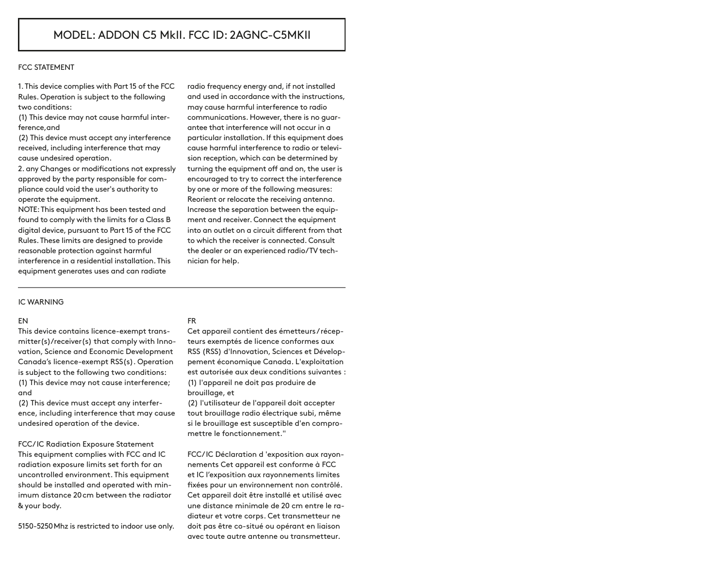#### FCC STATEMENT

1. This device complies with Part 15 of the FCC Rules. Operation is subject to the following two conditions:

(1) This device may not cause harmful interference,and

(2) This device must accept any interference received, including interference that may cause undesired operation.

2. any Changes or modifications not expressly approved by the party responsible for compliance could void the user's authority to operate the equipment.

NOTE: This equipment has been tested and found to comply with the limits for a Class B digital device, pursuant to Part 15 of the FCC Rules. These limits are designed to provide reasonable protection against harmful interference in a residential installation. This equipment generates uses and can radiate

radio frequency energy and, if not installed and used in accordance with the instructions, may cause harmful interference to radio communications. However, there is no guarantee that interference will not occur in a particular installation. If this equipment does cause harmful interference to radio or television reception, which can be determined by turning the equipment off and on, the user is encouraged to try to correct the interference by one or more of the following measures: Reorient or relocate the receiving antenna. Increase the separation between the equipment and receiver. Connect the equipment into an outlet on a circuit different from that to which the receiver is connected. Consult the dealer or an experienced radio/TV technician for help.

#### IC WARNING

### EN

This device contains licence-exempt transmitter(s)/receiver(s) that comply with Innovation, Science and Economic Development Canada's licence-exempt RSS(s). Operation is subject to the following two conditions: (1) This device may not cause interference; and

(2) This device must accept any interference, including interference that may cause undesired operation of the device.

FCC/ IC Radiation Exposure Statement This equipment complies with FCC and IC radiation exposure limits set forth for an uncontrolled environment. This equipment should be installed and operated with minimum distance 20cm between the radiator & your body.

5150-5250Mhz is restricted to indoor use only.

### FR

Cet appareil contient des émetteurs / récepteurs exemptés de licence conformes aux RSS (RSS) d'Innovation, Sciences et Développement économique Canada. L'exploitation est autorisée aux deux conditions suivantes : (1) l'appareil ne doit pas produire de brouillage, et

(2) l'utilisateur de l'appareil doit accepter tout brouillage radio électrique subi, même si le brouillage est susceptible d'en compromettre le fonctionnement."

FCC/ IC Déclaration d 'exposition aux rayonnements Cet appareil est conforme à FCC et IC l'exposition aux rayonnements limites fixées pour un environnement non contrôlé. Cet appareil doit être installé et utilisé avec une distance minimale de 20 cm entre le radiateur et votre corps. Cet transmetteur ne doit pas être co-situé ou opérant en liaison avec toute autre antenne ou transmetteur.